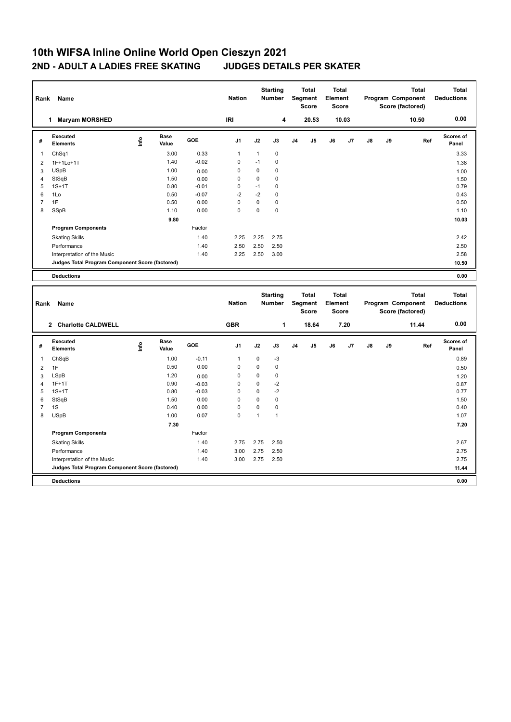## **10th WIFSA Inline Online World Open Cieszyn 2021 2ND - ADULT A LADIES FREE SKATING JUDGES DETAILS PER SKATER**

| Rank           | Name                                            |                                  |                      |            | <b>Nation</b>              |                          | <b>Starting</b><br>Number |    | <b>Total</b><br>Segment<br><b>Score</b>        | <b>Total</b><br>Element<br><b>Score</b> |       |    |    | <b>Total</b><br>Program Component<br>Score (factored) | <b>Total</b><br><b>Deductions</b> |
|----------------|-------------------------------------------------|----------------------------------|----------------------|------------|----------------------------|--------------------------|---------------------------|----|------------------------------------------------|-----------------------------------------|-------|----|----|-------------------------------------------------------|-----------------------------------|
|                | 1 Maryam MORSHED                                |                                  |                      |            | <b>IRI</b>                 |                          | 4                         |    | 20.53                                          |                                         | 10.03 |    |    | 10.50                                                 | 0.00                              |
| #              | Executed<br><b>Elements</b>                     | $\mathop{\mathsf{Irr}}\nolimits$ | <b>Base</b><br>Value | GOE        | J <sub>1</sub>             | J2                       | J3                        | J4 | J5                                             | J6                                      | J7    | J8 | J9 | Ref                                                   | <b>Scores of</b><br>Panel         |
| 1              | ChSq1                                           |                                  | 3.00                 | 0.33       | $\mathbf{1}$               | $\mathbf{1}$             | $\pmb{0}$                 |    |                                                |                                         |       |    |    |                                                       | 3.33                              |
| $\overline{c}$ | 1F+1Lo+1T                                       |                                  | 1.40                 | $-0.02$    | $\mathbf 0$                | $-1$                     | $\mathbf 0$               |    |                                                |                                         |       |    |    |                                                       | 1.38                              |
| 3              | <b>USpB</b>                                     |                                  | 1.00                 | 0.00       | $\mathbf 0$                | $\mathbf 0$              | $\mathbf 0$               |    |                                                |                                         |       |    |    |                                                       | 1.00                              |
| 4              | StSqB                                           |                                  | 1.50                 | 0.00       | $\mathbf 0$                | $\mathbf 0$              | $\mathbf 0$               |    |                                                |                                         |       |    |    |                                                       | 1.50                              |
| 5              | $1S+1T$                                         |                                  | 0.80                 | $-0.01$    | $\mathbf 0$                | $-1$                     | $\mathbf 0$               |    |                                                |                                         |       |    |    |                                                       | 0.79                              |
| 6              | 1Lo                                             |                                  | 0.50                 | $-0.07$    | $-2$                       | $-2$                     | $\mathbf 0$               |    |                                                |                                         |       |    |    |                                                       | 0.43                              |
| $\overline{7}$ | 1F                                              |                                  | 0.50                 | 0.00       | $\mathbf 0$<br>$\mathbf 0$ | $\pmb{0}$<br>$\mathbf 0$ | 0<br>$\mathbf 0$          |    |                                                |                                         |       |    |    |                                                       | 0.50                              |
| 8              | SSpB                                            |                                  | 1.10                 | 0.00       |                            |                          |                           |    |                                                |                                         |       |    |    |                                                       | 1.10                              |
|                |                                                 |                                  | 9.80                 |            |                            |                          |                           |    |                                                |                                         |       |    |    |                                                       | 10.03                             |
|                | <b>Program Components</b>                       |                                  |                      | Factor     |                            |                          |                           |    |                                                |                                         |       |    |    |                                                       |                                   |
|                | <b>Skating Skills</b>                           |                                  |                      | 1.40       | 2.25                       | 2.25                     | 2.75                      |    |                                                |                                         |       |    |    |                                                       | 2.42                              |
|                | Performance                                     |                                  |                      | 1.40       | 2.50                       | 2.50                     | 2.50                      |    |                                                |                                         |       |    |    |                                                       | 2.50                              |
|                | Interpretation of the Music                     |                                  |                      | 1.40       | 2.25                       | 2.50                     | 3.00                      |    |                                                |                                         |       |    |    |                                                       | 2.58                              |
|                | Judges Total Program Component Score (factored) |                                  |                      |            |                            |                          |                           |    |                                                |                                         |       |    |    |                                                       | 10.50                             |
|                | <b>Deductions</b>                               |                                  |                      |            |                            |                          |                           |    |                                                |                                         |       |    |    |                                                       | 0.00                              |
|                |                                                 |                                  |                      |            |                            |                          |                           |    |                                                |                                         |       |    |    |                                                       |                                   |
| Rank           | Name                                            |                                  |                      |            | <b>Nation</b>              |                          | <b>Starting</b><br>Number |    | <b>Total</b><br><b>Segment</b><br><b>Score</b> | <b>Total</b><br>Element<br><b>Score</b> |       |    |    | <b>Total</b><br>Program Component<br>Score (factored) | <b>Total</b><br><b>Deductions</b> |
|                | 2 Charlotte CALDWELL                            |                                  |                      |            | <b>GBR</b>                 |                          | 1                         |    | 18.64                                          |                                         | 7.20  |    |    | 11.44                                                 | 0.00                              |
| #              | <b>Executed</b><br><b>Elements</b>              | ١nfo                             | <b>Base</b><br>Value | <b>GOE</b> | J <sub>1</sub>             | J2                       | J3                        | J4 | J5                                             | J6                                      | J7    | J8 | J9 | Ref                                                   | Scores of<br>Panel                |
| $\mathbf{1}$   | ChSqB                                           |                                  | 1.00                 | $-0.11$    | $\mathbf{1}$               | $\mathbf 0$              | -3                        |    |                                                |                                         |       |    |    |                                                       | 0.89                              |
| $\overline{2}$ | 1F                                              |                                  | 0.50                 | 0.00       | $\mathbf 0$                | $\pmb{0}$                | 0                         |    |                                                |                                         |       |    |    |                                                       |                                   |
| 3              | LSpB                                            |                                  | 1.20                 | 0.00       | $\mathbf 0$                | $\mathbf 0$              | $\mathbf 0$               |    |                                                |                                         |       |    |    |                                                       | 0.50<br>1.20                      |
| 4              | $1F+1T$                                         |                                  | 0.90                 | $-0.03$    | $\mathbf 0$                | $\mathbf 0$              | $-2$                      |    |                                                |                                         |       |    |    |                                                       | 0.87                              |
| 5              | $1S+1T$                                         |                                  | 0.80                 | $-0.03$    | $\mathbf 0$                | $\mathbf 0$              | $-2$                      |    |                                                |                                         |       |    |    |                                                       | 0.77                              |
| 6              | StSqB                                           |                                  | 1.50                 | 0.00       | $\mathbf 0$                | $\mathbf 0$              | $\mathbf 0$               |    |                                                |                                         |       |    |    |                                                       | 1.50                              |
| $\overline{7}$ | 1S                                              |                                  | 0.40                 | 0.00       | $\mathbf 0$                | $\pmb{0}$                | $\mathbf 0$               |    |                                                |                                         |       |    |    |                                                       | 0.40                              |
| 8              | <b>USpB</b>                                     |                                  | 1.00                 | 0.07       | $\Omega$                   | $\mathbf{1}$             | $\mathbf{1}$              |    |                                                |                                         |       |    |    |                                                       | 1.07                              |
|                |                                                 |                                  | 7.30                 |            |                            |                          |                           |    |                                                |                                         |       |    |    |                                                       | 7.20                              |
|                | <b>Program Components</b>                       |                                  |                      | Factor     |                            |                          |                           |    |                                                |                                         |       |    |    |                                                       |                                   |
|                | <b>Skating Skills</b>                           |                                  |                      | 1.40       | 2.75                       | 2.75                     | 2.50                      |    |                                                |                                         |       |    |    |                                                       | 2.67                              |
|                | Performance                                     |                                  |                      | 1.40       | 3.00                       | 2.75                     | 2.50                      |    |                                                |                                         |       |    |    |                                                       | 2.75                              |
|                | Interpretation of the Music                     |                                  |                      | 1.40       | 3.00                       | 2.75                     | 2.50                      |    |                                                |                                         |       |    |    |                                                       | 2.75                              |
|                | Judges Total Program Component Score (factored) |                                  |                      |            |                            |                          |                           |    |                                                |                                         |       |    |    |                                                       | 11.44                             |